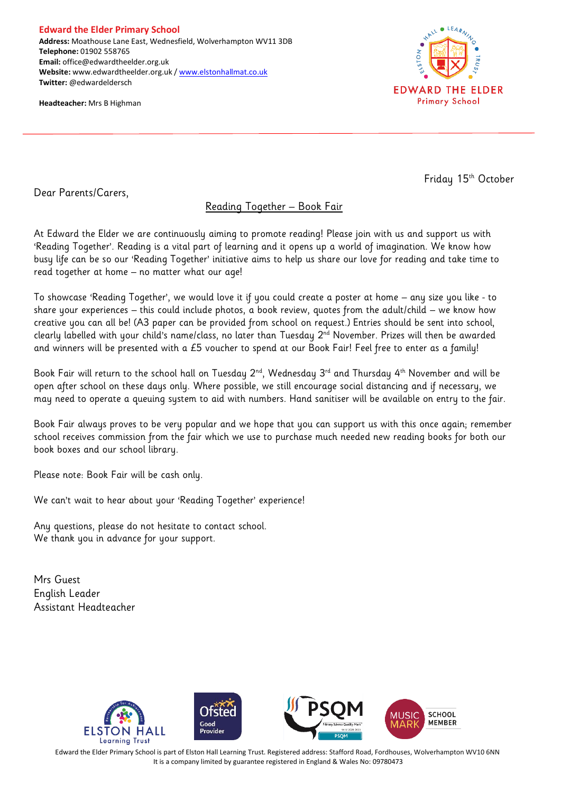**Edward the Elder Primary School Address:** Moathouse Lane East, Wednesfield, Wolverhampton WV11 3DB **Telephone:** 01902 558765 **Email:** office@edwardtheelder.org.uk **Website:** www.edwardtheelder.org.uk [/ www.elstonhallmat.co.uk](http://www.elstonhallmat.co.uk/) **Twitter:** @edwardeldersch

**Headteacher:** Mrs B Highman



Friday 15<sup>th</sup> October

Dear Parents/Carers,

## Reading Together – Book Fair

At Edward the Elder we are continuously aiming to promote reading! Please join with us and support us with 'Reading Together'. Reading is a vital part of learning and it opens up a world of imagination. We know how busy life can be so our 'Reading Together' initiative aims to help us share our love for reading and take time to read together at home – no matter what our age!

To showcase 'Reading Together', we would love it if you could create a poster at home – any size you like - to share your experiences – this could include photos, a book review, quotes from the adult/child – we know how creative you can all be! (A3 paper can be provided from school on request.) Entries should be sent into school, clearly labelled with your child's name/class, no later than Tuesday 2<sup>nd</sup> November. Prizes will then be awarded and winners will be presented with a £5 voucher to spend at our Book Fair! Feel free to enter as a family!

Book Fair will return to the school hall on Tuesday  $2^{nd}$ , Wednesday  $3^{rd}$  and Thursday  $4^{th}$  November and will be open after school on these days only. Where possible, we still encourage social distancing and if necessary, we may need to operate a queuing system to aid with numbers. Hand sanitiser will be available on entry to the fair.

Book Fair always proves to be very popular and we hope that you can support us with this once again; remember school receives commission from the fair which we use to purchase much needed new reading books for both our book boxes and our school library.

Please note: Book Fair will be cash only.

We can't wait to hear about your 'Reading Together' experience!

Any questions, please do not hesitate to contact school. We thank you in advance for your support.

Mrs Guest English Leader Assistant Headteacher



Edward the Elder Primary School is part of Elston Hall Learning Trust. Registered address: Stafford Road, Fordhouses, Wolverhampton WV10 6NN It is a company limited by guarantee registered in England & Wales No: 09780473